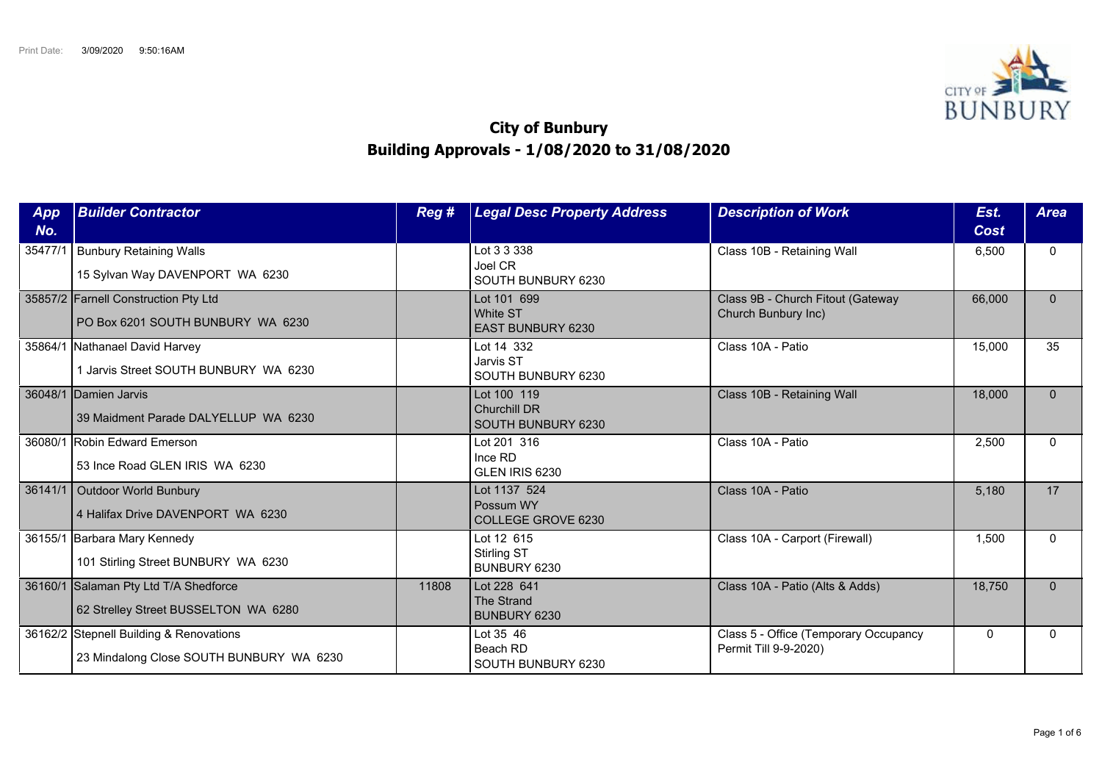

## **City of Bunbury Building Approvals - 1/08/2020 to 31/08/2020**

| App<br>No. | <b>Builder Contractor</b>                                                           | Reg # | <b>Legal Desc Property Address</b>                         | <b>Description of Work</b>                                     | Est.<br>Cost | <b>Area</b> |
|------------|-------------------------------------------------------------------------------------|-------|------------------------------------------------------------|----------------------------------------------------------------|--------------|-------------|
| 35477/1    | <b>Bunbury Retaining Walls</b><br>15 Sylvan Way DAVENPORT WA 6230                   |       | Lot 3 3 338<br>Joel CR<br>SOUTH BUNBURY 6230               | Class 10B - Retaining Wall                                     | 6,500        | $\Omega$    |
|            | 35857/2 Farnell Construction Pty Ltd<br>PO Box 6201 SOUTH BUNBURY WA 6230           |       | Lot 101 699<br><b>White ST</b><br><b>EAST BUNBURY 6230</b> | Class 9B - Church Fitout (Gateway<br>Church Bunbury Inc)       | 66,000       | $\Omega$    |
|            | 35864/1 Nathanael David Harvey<br>1 Jarvis Street SOUTH BUNBURY WA 6230             |       | Lot 14 332<br>Jarvis ST<br>SOUTH BUNBURY 6230              | Class 10A - Patio                                              | 15,000       | 35          |
| 36048/1    | Damien Jarvis<br>39 Maidment Parade DALYELLUP WA 6230                               |       | Lot 100 119<br><b>Churchill DR</b><br>SOUTH BUNBURY 6230   | Class 10B - Retaining Wall                                     | 18,000       | $\Omega$    |
|            | 36080/1 Robin Edward Emerson<br>53 Ince Road GLEN IRIS WA 6230                      |       | Lot 201 316<br>Ince RD<br>GLEN IRIS 6230                   | Class 10A - Patio                                              | 2,500        | $\Omega$    |
|            | 36141/1   Outdoor World Bunbury<br>4 Halifax Drive DAVENPORT WA 6230                |       | Lot 1137 524<br>Possum WY<br>COLLEGE GROVE 6230            | Class 10A - Patio                                              | 5,180        | 17          |
|            | 36155/1 Barbara Mary Kennedy<br>101 Stirling Street BUNBURY WA 6230                 |       | Lot 12 615<br>Stirling ST<br>BUNBURY 6230                  | Class 10A - Carport (Firewall)                                 | 1,500        | $\Omega$    |
|            | 36160/1 Salaman Pty Ltd T/A Shedforce<br>62 Strelley Street BUSSELTON WA 6280       | 11808 | Lot 228 641<br>The Strand<br><b>BUNBURY 6230</b>           | Class 10A - Patio (Alts & Adds)                                | 18,750       | $\Omega$    |
|            | 36162/2 Stepnell Building & Renovations<br>23 Mindalong Close SOUTH BUNBURY WA 6230 |       | Lot 35 46<br>Beach RD<br>SOUTH BUNBURY 6230                | Class 5 - Office (Temporary Occupancy<br>Permit Till 9-9-2020) | $\mathbf{0}$ | $\Omega$    |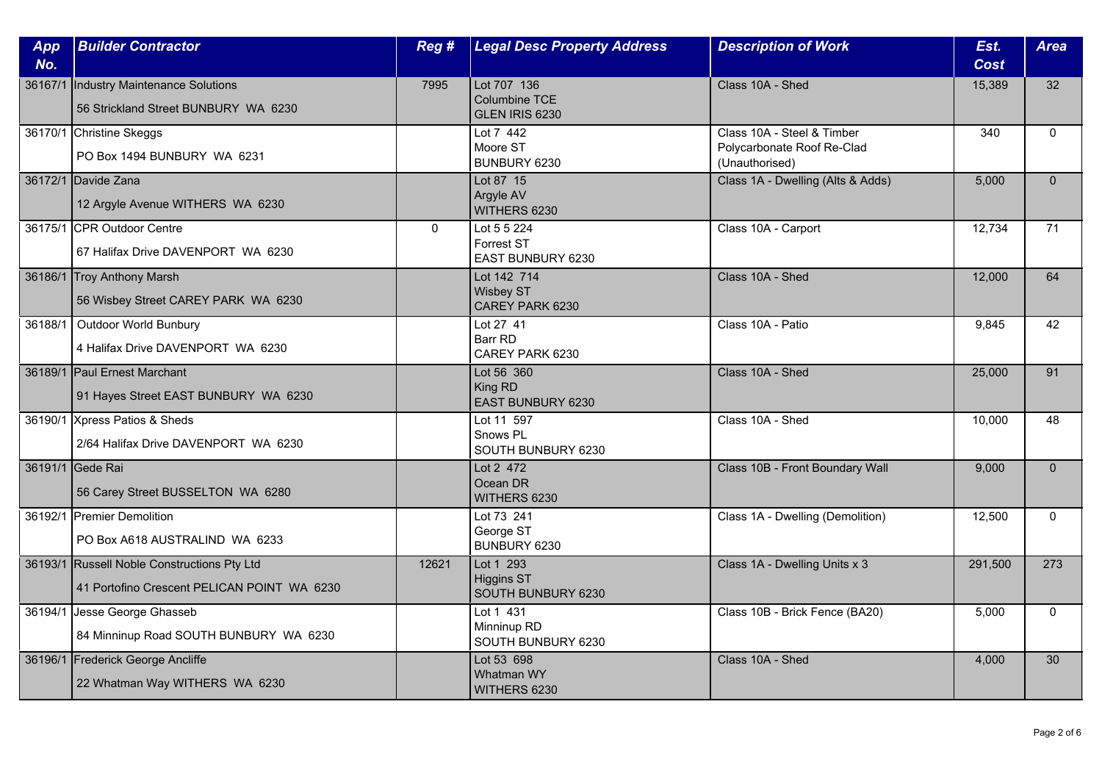| App<br>No. | <b>Builder Contractor</b>                                                                  | Reg #        | <b>Legal Desc Property Address</b>                    | <b>Description of Work</b>                                                 | Est.<br><b>Cost</b> | <b>Area</b>  |
|------------|--------------------------------------------------------------------------------------------|--------------|-------------------------------------------------------|----------------------------------------------------------------------------|---------------------|--------------|
| 36167/1    | Industry Maintenance Solutions<br>56 Strickland Street BUNBURY WA 6230                     | 7995         | Lot 707 136<br>Columbine TCE<br>GLEN IRIS 6230        | Class 10A - Shed                                                           | 15,389              | 32           |
|            | 36170/1 Christine Skeggs<br>PO Box 1494 BUNBURY WA 6231                                    |              | Lot 7 442<br>Moore ST<br>BUNBURY 6230                 | Class 10A - Steel & Timber<br>Polycarbonate Roof Re-Clad<br>(Unauthorised) | 340                 | $\mathbf{0}$ |
|            | 36172/1 Davide Zana<br>12 Argyle Avenue WITHERS WA 6230                                    |              | Lot 87 15<br>Argyle AV<br>WITHERS 6230                | Class 1A - Dwelling (Alts & Adds)                                          | 5,000               | $\mathbf{0}$ |
|            | 36175/1 CPR Outdoor Centre<br>67 Halifax Drive DAVENPORT WA 6230                           | $\mathbf{0}$ | Lot 5 5 224<br><b>Forrest ST</b><br>EAST BUNBURY 6230 | Class 10A - Carport                                                        | 12,734              | 71           |
|            | 36186/1 Troy Anthony Marsh<br>56 Wisbey Street CAREY PARK WA 6230                          |              | Lot 142 714<br><b>Wisbey ST</b><br>CAREY PARK 6230    | Class 10A - Shed                                                           | 12,000              | 64           |
| 36188/1    | <b>Outdoor World Bunbury</b><br>4 Halifax Drive DAVENPORT WA 6230                          |              | Lot 27 41<br>Barr RD<br>CAREY PARK 6230               | Class 10A - Patio                                                          | 9,845               | 42           |
|            | 36189/1 Paul Ernest Marchant<br>91 Hayes Street EAST BUNBURY WA 6230                       |              | Lot 56 360<br>King RD<br><b>EAST BUNBURY 6230</b>     | Class 10A - Shed                                                           | 25,000              | 91           |
|            | 36190/1 Xpress Patios & Sheds<br>2/64 Halifax Drive DAVENPORT WA 6230                      |              | Lot 11 597<br>Snows PL<br>SOUTH BUNBURY 6230          | Class 10A - Shed                                                           | 10,000              | 48           |
|            | 36191/1 Gede Rai<br>56 Carey Street BUSSELTON WA 6280                                      |              | Lot 2 472<br>Ocean DR<br>WITHERS 6230                 | Class 10B - Front Boundary Wall                                            | 9.000               | $\Omega$     |
|            | 36192/1 Premier Demolition<br>PO Box A618 AUSTRALIND WA 6233                               |              | Lot 73 241<br>George ST<br>BUNBURY 6230               | Class 1A - Dwelling (Demolition)                                           | 12,500              | $\mathbf{0}$ |
|            | 36193/1 Russell Noble Constructions Pty Ltd<br>41 Portofino Crescent PELICAN POINT WA 6230 | 12621        | Lot 1 293<br>Higgins ST<br>SOUTH BUNBURY 6230         | Class 1A - Dwelling Units x 3                                              | 291,500             | 273          |
|            | 36194/1 Jesse George Ghasseb<br>84 Minninup Road SOUTH BUNBURY WA 6230                     |              | Lot 1 431<br>Minninup RD<br>SOUTH BUNBURY 6230        | Class 10B - Brick Fence (BA20)                                             | 5,000               | $\Omega$     |
| 36196/1    | Frederick George Ancliffe<br>22 Whatman Way WITHERS WA 6230                                |              | Lot 53 698<br>Whatman WY<br>WITHERS 6230              | Class 10A - Shed                                                           | 4,000               | 30           |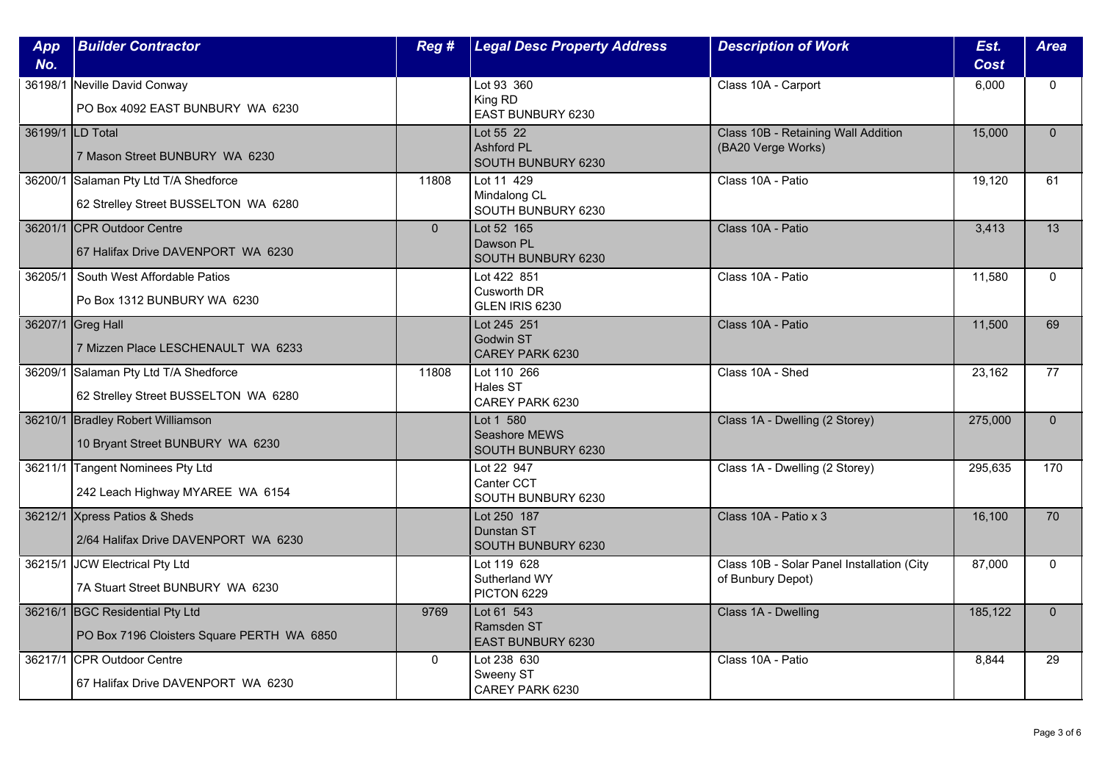| App<br>No.       | <b>Builder Contractor</b>                                                     | Reg #          | <b>Legal Desc Property Address</b>                   | <b>Description of Work</b>                                      | Est.<br><b>Cost</b> | <b>Area</b>     |
|------------------|-------------------------------------------------------------------------------|----------------|------------------------------------------------------|-----------------------------------------------------------------|---------------------|-----------------|
|                  | 36198/1 Neville David Conway<br>PO Box 4092 EAST BUNBURY WA 6230              |                | Lot 93 360<br>King RD<br>EAST BUNBURY 6230           | Class 10A - Carport                                             | 6,000               | $\mathbf{0}$    |
| 36199/1 LD Total | 7 Mason Street BUNBURY WA 6230                                                |                | Lot 55 22<br><b>Ashford PL</b><br>SOUTH BUNBURY 6230 | Class 10B - Retaining Wall Addition<br>(BA20 Verge Works)       | 15,000              | $\Omega$        |
|                  | 36200/1 Salaman Pty Ltd T/A Shedforce<br>62 Strelley Street BUSSELTON WA 6280 | 11808          | Lot 11 429<br>Mindalong CL<br>SOUTH BUNBURY 6230     | Class 10A - Patio                                               | 19,120              | 61              |
|                  | 36201/1 CPR Outdoor Centre<br>67 Halifax Drive DAVENPORT WA 6230              | $\overline{0}$ | Lot 52 165<br>Dawson PL<br>SOUTH BUNBURY 6230        | Class 10A - Patio                                               | 3,413               | $\overline{13}$ |
|                  | 36205/1 South West Affordable Patios<br>Po Box 1312 BUNBURY WA 6230           |                | Lot 422 851<br><b>Cusworth DR</b><br>GLEN IRIS 6230  | Class 10A - Patio                                               | 11,580              | $\mathbf{0}$    |
|                  | 36207/1 Greg Hall<br>7 Mizzen Place LESCHENAULT WA 6233                       |                | Lot 245 251<br><b>Godwin ST</b><br>CAREY PARK 6230   | Class 10A - Patio                                               | 11,500              | 69              |
|                  | 36209/1 Salaman Pty Ltd T/A Shedforce<br>62 Strelley Street BUSSELTON WA 6280 | 11808          | Lot 110 266<br>Hales ST<br>CAREY PARK 6230           | Class 10A - Shed                                                | 23,162              | $\overline{77}$ |
|                  | 36210/1 Bradley Robert Williamson<br>10 Bryant Street BUNBURY WA 6230         |                | Lot 1 580<br>Seashore MEWS<br>SOUTH BUNBURY 6230     | Class 1A - Dwelling (2 Storey)                                  | 275,000             | $\mathbf{0}$    |
|                  | 36211/1 Tangent Nominees Pty Ltd<br>242 Leach Highway MYAREE WA 6154          |                | Lot 22 947<br>Canter CCT<br>SOUTH BUNBURY 6230       | Class 1A - Dwelling (2 Storey)                                  | 295,635             | 170             |
|                  | 36212/1 Xpress Patios & Sheds<br>2/64 Halifax Drive DAVENPORT WA 6230         |                | Lot 250 187<br>Dunstan ST<br>SOUTH BUNBURY 6230      | Class 10A - Patio x 3                                           | 16,100              | 70              |
|                  | 36215/1 JCW Electrical Pty Ltd<br>7A Stuart Street BUNBURY WA 6230            |                | Lot 119 628<br>Sutherland WY<br>PICTON 6229          | Class 10B - Solar Panel Installation (City<br>of Bunbury Depot) | 87,000              | $\mathbf{0}$    |
|                  | 36216/1 BGC Residential Pty Ltd<br>PO Box 7196 Cloisters Square PERTH WA 6850 | 9769           | Lot 61 543<br>Ramsden ST<br><b>EAST BUNBURY 6230</b> | Class 1A - Dwelling                                             | 185,122             | $\Omega$        |
|                  | 36217/1 CPR Outdoor Centre<br>67 Halifax Drive DAVENPORT WA 6230              | $\mathbf{0}$   | Lot 238 630<br>Sweeny ST<br>CAREY PARK 6230          | Class 10A - Patio                                               | 8,844               | 29              |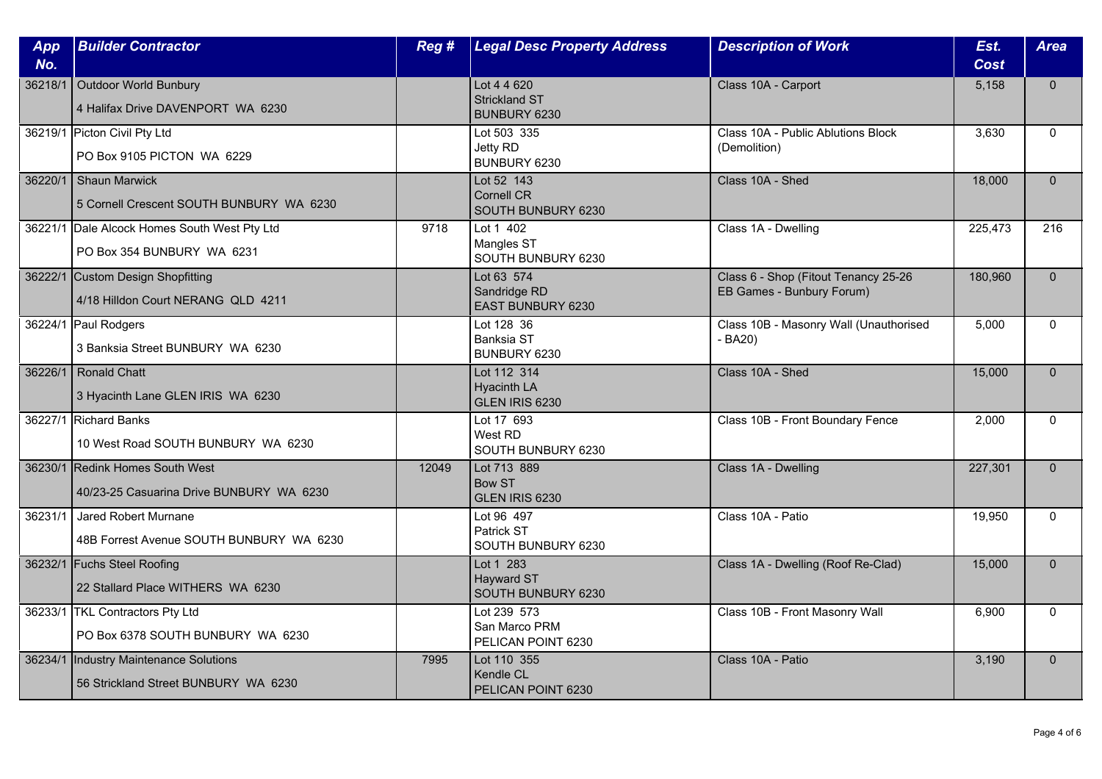| App<br>No. | <b>Builder Contractor</b>                                                   | Reg # | <b>Legal Desc Property Address</b>                    | <b>Description of Work</b>                                        | Est.<br><b>Cost</b> | <b>Area</b>  |
|------------|-----------------------------------------------------------------------------|-------|-------------------------------------------------------|-------------------------------------------------------------------|---------------------|--------------|
| 36218/1    | Outdoor World Bunbury<br>4 Halifax Drive DAVENPORT WA 6230                  |       | Lot 4 4 620<br><b>Strickland ST</b><br>BUNBURY 6230   | Class 10A - Carport                                               | 5,158               | $\Omega$     |
|            | 36219/1 Picton Civil Pty Ltd<br>PO Box 9105 PICTON WA 6229                  |       | Lot 503 335<br>Jetty RD<br>BUNBURY 6230               | Class 10A - Public Ablutions Block<br>(Demolition)                | 3,630               | $\Omega$     |
| 36220/1    | Shaun Marwick<br>5 Cornell Crescent SOUTH BUNBURY WA 6230                   |       | Lot 52 143<br><b>Cornell CR</b><br>SOUTH BUNBURY 6230 | Class 10A - Shed                                                  | 18,000              | $\Omega$     |
|            | 36221/1 Dale Alcock Homes South West Pty Ltd<br>PO Box 354 BUNBURY WA 6231  | 9718  | Lot 1 402<br>Mangles ST<br>SOUTH BUNBURY 6230         | Class 1A - Dwelling                                               | 225,473             | 216          |
|            | 36222/1 Custom Design Shopfitting<br>4/18 Hilldon Court NERANG QLD 4211     |       | Lot 63 574<br>Sandridge RD<br>EAST BUNBURY 6230       | Class 6 - Shop (Fitout Tenancy 25-26<br>EB Games - Bunbury Forum) | 180,960             | $\Omega$     |
|            | 36224/1 Paul Rodgers<br>3 Banksia Street BUNBURY WA 6230                    |       | Lot 128 36<br><b>Banksia ST</b><br>BUNBURY 6230       | Class 10B - Masonry Wall (Unauthorised<br>$-BA20$                 | 5,000               | $\Omega$     |
|            | 36226/1 Ronald Chatt<br>3 Hyacinth Lane GLEN IRIS WA 6230                   |       | Lot 112 314<br><b>Hyacinth LA</b><br>GLEN IRIS 6230   | Class 10A - Shed                                                  | 15,000              | $\Omega$     |
|            | 36227/1 Richard Banks<br>10 West Road SOUTH BUNBURY WA 6230                 |       | Lot 17 693<br>West RD<br>SOUTH BUNBURY 6230           | Class 10B - Front Boundary Fence                                  | 2,000               | $\Omega$     |
|            | 36230/1 Redink Homes South West<br>40/23-25 Casuarina Drive BUNBURY WA 6230 | 12049 | Lot 713 889<br><b>Bow ST</b><br>GLEN IRIS 6230        | Class 1A - Dwelling                                               | 227,301             | $\Omega$     |
| 36231/1    | Jared Robert Murnane<br>48B Forrest Avenue SOUTH BUNBURY WA 6230            |       | Lot 96 497<br>Patrick ST<br>SOUTH BUNBURY 6230        | Class 10A - Patio                                                 | 19,950              | $\mathbf{0}$ |
|            | 36232/1 Fuchs Steel Roofing<br>22 Stallard Place WITHERS WA 6230            |       | Lot 1 283<br>Hayward ST<br>SOUTH BUNBURY 6230         | Class 1A - Dwelling (Roof Re-Clad)                                | 15,000              | $\Omega$     |
|            | 36233/1 TKL Contractors Pty Ltd<br>PO Box 6378 SOUTH BUNBURY WA 6230        |       | Lot 239 573<br>San Marco PRM<br>PELICAN POINT 6230    | Class 10B - Front Masonry Wall                                    | 6,900               | $\Omega$     |
| 36234/1    | Industry Maintenance Solutions<br>56 Strickland Street BUNBURY WA 6230      | 7995  | Lot 110 355<br>Kendle CL<br>PELICAN POINT 6230        | Class 10A - Patio                                                 | 3,190               | $\Omega$     |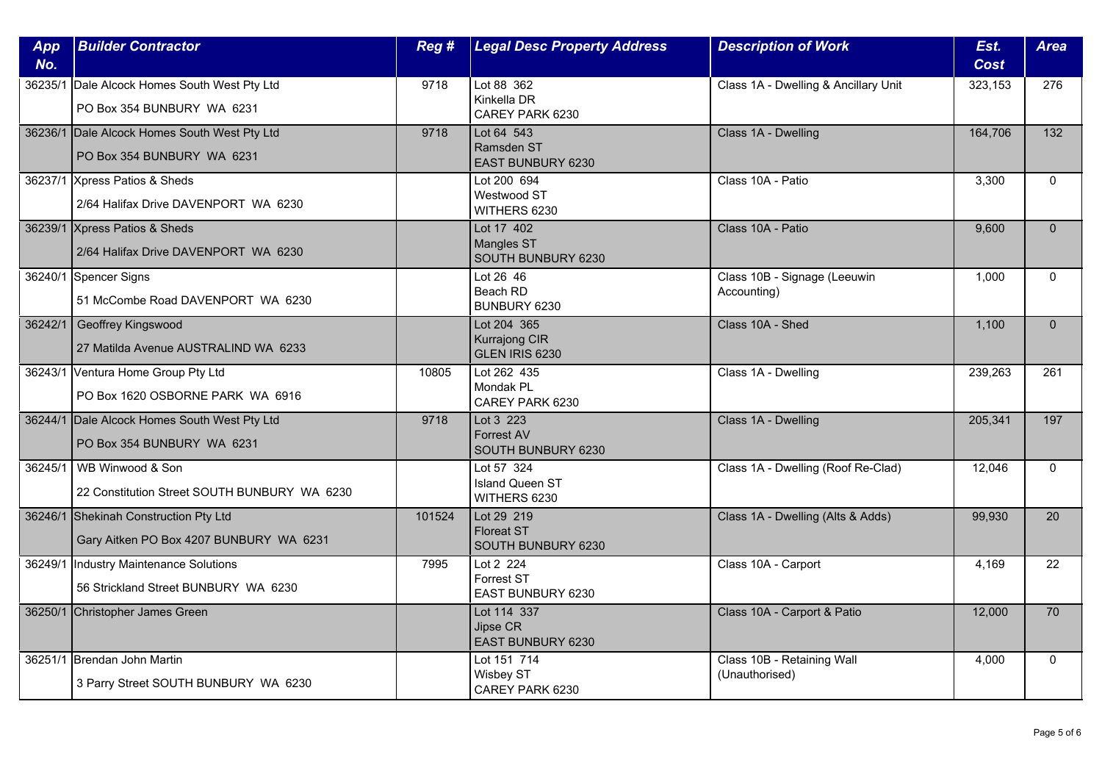| App<br>No. | <b>Builder Contractor</b>                                                        | Reg #  | <b>Legal Desc Property Address</b>                    | <b>Description of Work</b>                   | Est.<br>Cost | <b>Area</b>     |
|------------|----------------------------------------------------------------------------------|--------|-------------------------------------------------------|----------------------------------------------|--------------|-----------------|
|            | 36235/1 Dale Alcock Homes South West Pty Ltd<br>PO Box 354 BUNBURY WA 6231       | 9718   | Lot 88 362<br>Kinkella DR<br>CAREY PARK 6230          | Class 1A - Dwelling & Ancillary Unit         | 323,153      | 276             |
|            | 36236/1 Dale Alcock Homes South West Pty Ltd<br>PO Box 354 BUNBURY WA 6231       | 9718   | Lot 64 543<br>Ramsden ST<br><b>EAST BUNBURY 6230</b>  | Class 1A - Dwelling                          | 164,706      | 132             |
|            | 36237/1 Xpress Patios & Sheds<br>2/64 Halifax Drive DAVENPORT WA 6230            |        | Lot 200 694<br>Westwood ST<br>WITHERS 6230            | Class 10A - Patio                            | 3,300        | $\mathbf{0}$    |
|            | 36239/1 Xpress Patios & Sheds<br>2/64 Halifax Drive DAVENPORT WA 6230            |        | Lot 17 402<br><b>Mangles ST</b><br>SOUTH BUNBURY 6230 | Class 10A - Patio                            | 9,600        | $\mathbf{0}$    |
|            | 36240/1 Spencer Signs<br>51 McCombe Road DAVENPORT WA 6230                       |        | Lot 26 46<br>Beach RD<br>BUNBURY 6230                 | Class 10B - Signage (Leeuwin<br>Accounting)  | 1,000        | $\mathbf{0}$    |
| 36242/1    | Geoffrey Kingswood<br>27 Matilda Avenue AUSTRALIND WA 6233                       |        | Lot 204 365<br><b>Kurrajong CIR</b><br>GLEN IRIS 6230 | Class 10A - Shed                             | 1,100        | $\Omega$        |
|            | 36243/1 Ventura Home Group Pty Ltd<br>PO Box 1620 OSBORNE PARK WA 6916           | 10805  | Lot 262 435<br>Mondak PL<br>CAREY PARK 6230           | Class 1A - Dwelling                          | 239,263      | 261             |
|            | 36244/1 Dale Alcock Homes South West Pty Ltd<br>PO Box 354 BUNBURY WA 6231       | 9718   | Lot 3 223<br><b>Forrest AV</b><br>SOUTH BUNBURY 6230  | Class 1A - Dwelling                          | 205,341      | 197             |
|            | 36245/1   WB Winwood & Son<br>22 Constitution Street SOUTH BUNBURY WA 6230       |        | Lot 57 324<br><b>Island Queen ST</b><br>WITHERS 6230  | Class 1A - Dwelling (Roof Re-Clad)           | 12,046       | $\Omega$        |
|            | 36246/1 Shekinah Construction Pty Ltd<br>Gary Aitken PO Box 4207 BUNBURY WA 6231 | 101524 | Lot 29 219<br><b>Floreat ST</b><br>SOUTH BUNBURY 6230 | Class 1A - Dwelling (Alts & Adds)            | 99,930       | 20              |
|            | 36249/1  Industry Maintenance Solutions<br>56 Strickland Street BUNBURY WA 6230  | 7995   | Lot 2 224<br>Forrest ST<br>EAST BUNBURY 6230          | Class 10A - Carport                          | 4.169        | 22              |
|            | 36250/1 Christopher James Green                                                  |        | Lot 114 337<br>Jipse CR<br><b>EAST BUNBURY 6230</b>   | Class 10A - Carport & Patio                  | 12,000       | $\overline{70}$ |
|            | 36251/1 Brendan John Martin<br>3 Parry Street SOUTH BUNBURY WA 6230              |        | Lot 151 714<br>Wisbey ST<br>CAREY PARK 6230           | Class 10B - Retaining Wall<br>(Unauthorised) | 4,000        | $\mathbf{0}$    |